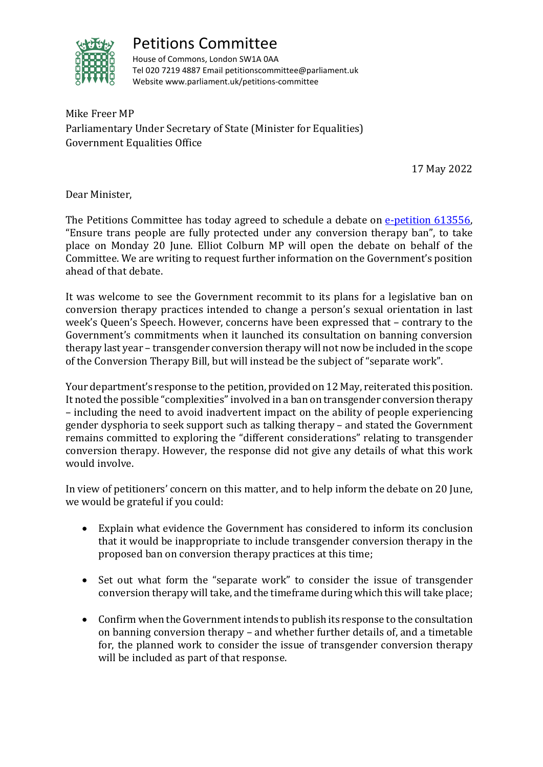

## Petitions Committee

House of Commons, London SW1A 0AA Tel 020 7219 4887 Email petitionscommittee@parliament.uk Website www.parliament.uk/petitions-committee

Mike Freer MP Parliamentary Under Secretary of State (Minister for Equalities) Government Equalities Office

17 May 2022

Dear Minister,

The Petitions Committee has today agreed to schedule a debate on [e-petition 613556,](https://petition.parliament.uk/petitions/613556) "Ensure trans people are fully protected under any conversion therapy ban", to take place on Monday 20 June. Elliot Colburn MP will open the debate on behalf of the Committee. We are writing to request further information on the Government's position ahead of that debate.

It was welcome to see the Government recommit to its plans for a legislative ban on conversion therapy practices intended to change a person's sexual orientation in last week's Queen's Speech. However, concerns have been expressed that – contrary to the Government's commitments when it launched its consultation on banning conversion therapy last year – transgender conversion therapy will not now be included in the scope of the Conversion Therapy Bill, but will instead be the subject of "separate work".

Your department's response to the petition, provided on 12 May, reiterated this position. It noted the possible "complexities" involved in a ban on transgender conversion therapy – including the need to avoid inadvertent impact on the ability of people experiencing gender dysphoria to seek support such as talking therapy – and stated the Government remains committed to exploring the "different considerations" relating to transgender conversion therapy. However, the response did not give any details of what this work would involve.

In view of petitioners' concern on this matter, and to help inform the debate on 20 June, we would be grateful if you could:

- Explain what evidence the Government has considered to inform its conclusion that it would be inappropriate to include transgender conversion therapy in the proposed ban on conversion therapy practices at this time;
- Set out what form the "separate work" to consider the issue of transgender conversion therapy will take, and the timeframe during which this will take place;
- Confirm when the Government intends to publish its response to the consultation on banning conversion therapy – and whether further details of, and a timetable for, the planned work to consider the issue of transgender conversion therapy will be included as part of that response.